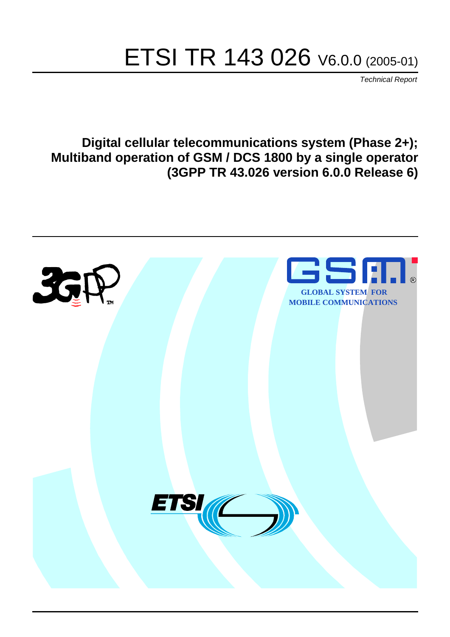# ETSI TR 143 026 V6.0.0 (2005-01)

Technical Report

**Digital cellular telecommunications system (Phase 2+); Multiband operation of GSM / DCS 1800 by a single operator (3GPP TR 43.026 version 6.0.0 Release 6)**

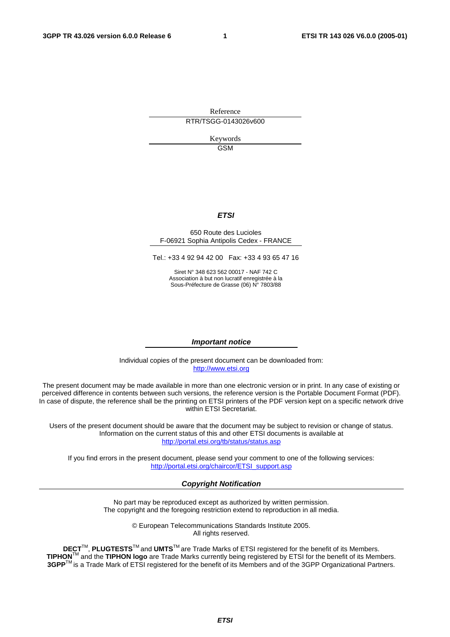Reference RTR/TSGG-0143026v600

> Keywords GSM

#### **ETSI**

#### 650 Route des Lucioles F-06921 Sophia Antipolis Cedex - FRANCE

Tel.: +33 4 92 94 42 00 Fax: +33 4 93 65 47 16

Siret N° 348 623 562 00017 - NAF 742 C Association à but non lucratif enregistrée à la Sous-Préfecture de Grasse (06) N° 7803/88

#### **Important notice**

Individual copies of the present document can be downloaded from: [http://www.etsi.org](http://www.etsi.org/)

The present document may be made available in more than one electronic version or in print. In any case of existing or perceived difference in contents between such versions, the reference version is the Portable Document Format (PDF). In case of dispute, the reference shall be the printing on ETSI printers of the PDF version kept on a specific network drive within ETSI Secretariat.

Users of the present document should be aware that the document may be subject to revision or change of status. Information on the current status of this and other ETSI documents is available at <http://portal.etsi.org/tb/status/status.asp>

If you find errors in the present document, please send your comment to one of the following services: [http://portal.etsi.org/chaircor/ETSI\\_support.asp](http://portal.etsi.org/chaircor/ETSI_support.asp)

#### **Copyright Notification**

No part may be reproduced except as authorized by written permission. The copyright and the foregoing restriction extend to reproduction in all media.

> © European Telecommunications Standards Institute 2005. All rights reserved.

**DECT**TM, **PLUGTESTS**TM and **UMTS**TM are Trade Marks of ETSI registered for the benefit of its Members. **TIPHON**TM and the **TIPHON logo** are Trade Marks currently being registered by ETSI for the benefit of its Members. **3GPP**TM is a Trade Mark of ETSI registered for the benefit of its Members and of the 3GPP Organizational Partners.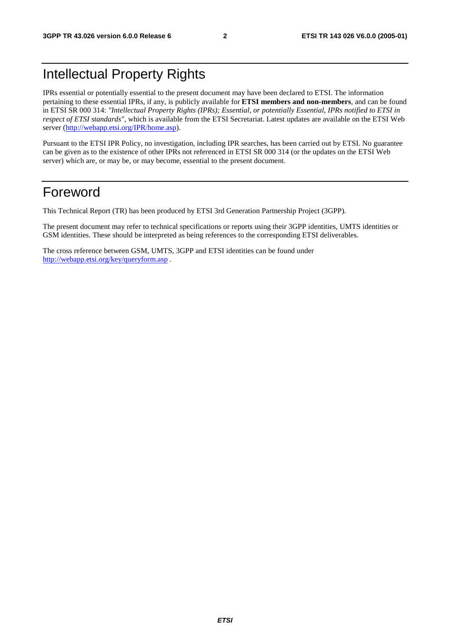# Intellectual Property Rights

IPRs essential or potentially essential to the present document may have been declared to ETSI. The information pertaining to these essential IPRs, if any, is publicly available for **ETSI members and non-members**, and can be found in ETSI SR 000 314: *"Intellectual Property Rights (IPRs); Essential, or potentially Essential, IPRs notified to ETSI in respect of ETSI standards"*, which is available from the ETSI Secretariat. Latest updates are available on the ETSI Web server (<http://webapp.etsi.org/IPR/home.asp>).

Pursuant to the ETSI IPR Policy, no investigation, including IPR searches, has been carried out by ETSI. No guarantee can be given as to the existence of other IPRs not referenced in ETSI SR 000 314 (or the updates on the ETSI Web server) which are, or may be, or may become, essential to the present document.

# Foreword

This Technical Report (TR) has been produced by ETSI 3rd Generation Partnership Project (3GPP).

The present document may refer to technical specifications or reports using their 3GPP identities, UMTS identities or GSM identities. These should be interpreted as being references to the corresponding ETSI deliverables.

The cross reference between GSM, UMTS, 3GPP and ETSI identities can be found under <http://webapp.etsi.org/key/queryform.asp>.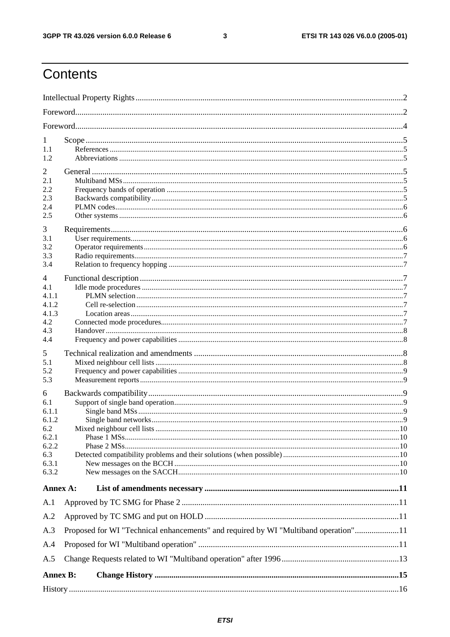$\mathbf{3}$ 

# Contents

| 1<br>1.1<br>1.2                                                              |                                                                                     |  |
|------------------------------------------------------------------------------|-------------------------------------------------------------------------------------|--|
| 2<br>2.1<br>2.2<br>2.3<br>2.4<br>2.5                                         |                                                                                     |  |
| 3<br>3.1<br>3.2<br>3.3<br>3.4                                                |                                                                                     |  |
| 4<br>4.1<br>4.1.1<br>4.1.2<br>4.1.3<br>4.2<br>4.3<br>4.4                     |                                                                                     |  |
| 5<br>5.1<br>5.2<br>5.3                                                       |                                                                                     |  |
| 6<br>6.1<br>6.1.1<br>6.1.2<br>6.2<br>6.2.1<br>6.2.2<br>6.3<br>6.3.1<br>6.3.2 |                                                                                     |  |
| Annex A:                                                                     |                                                                                     |  |
| A.1<br>A.2<br>A.3<br>A.4<br>A.5                                              | Proposed for WI "Technical enhancements" and required by WI "Multiband operation"11 |  |
| <b>Annex B:</b>                                                              |                                                                                     |  |
|                                                                              |                                                                                     |  |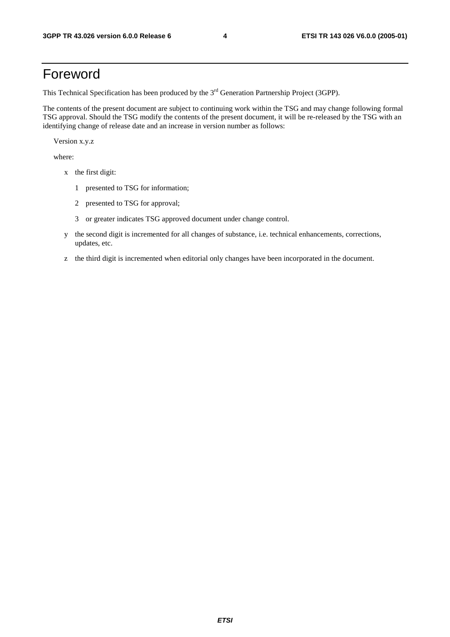# Foreword

This Technical Specification has been produced by the 3<sup>rd</sup> Generation Partnership Project (3GPP).

The contents of the present document are subject to continuing work within the TSG and may change following formal TSG approval. Should the TSG modify the contents of the present document, it will be re-released by the TSG with an identifying change of release date and an increase in version number as follows:

Version x.y.z

where:

- x the first digit:
	- 1 presented to TSG for information;
	- 2 presented to TSG for approval;
	- 3 or greater indicates TSG approved document under change control.
- y the second digit is incremented for all changes of substance, i.e. technical enhancements, corrections, updates, etc.
- z the third digit is incremented when editorial only changes have been incorporated in the document.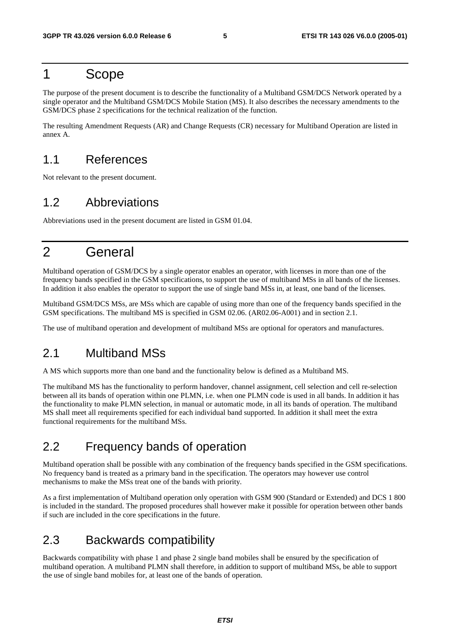# 1 Scope

The purpose of the present document is to describe the functionality of a Multiband GSM/DCS Network operated by a single operator and the Multiband GSM/DCS Mobile Station (MS). It also describes the necessary amendments to the GSM/DCS phase 2 specifications for the technical realization of the function.

The resulting Amendment Requests (AR) and Change Requests (CR) necessary for Multiband Operation are listed in annex A.

# 1.1 References

Not relevant to the present document.

# 1.2 Abbreviations

Abbreviations used in the present document are listed in GSM 01.04.

# 2 General

Multiband operation of GSM/DCS by a single operator enables an operator, with licenses in more than one of the frequency bands specified in the GSM specifications, to support the use of multiband MSs in all bands of the licenses. In addition it also enables the operator to support the use of single band MSs in, at least, one band of the licenses.

Multiband GSM/DCS MSs, are MSs which are capable of using more than one of the frequency bands specified in the GSM specifications. The multiband MS is specified in GSM 02.06. (AR02.06-A001) and in section 2.1.

The use of multiband operation and development of multiband MSs are optional for operators and manufactures.

### 2.1 Multiband MSs

A MS which supports more than one band and the functionality below is defined as a Multiband MS.

The multiband MS has the functionality to perform handover, channel assignment, cell selection and cell re-selection between all its bands of operation within one PLMN, i.e. when one PLMN code is used in all bands. In addition it has the functionality to make PLMN selection, in manual or automatic mode, in all its bands of operation. The multiband MS shall meet all requirements specified for each individual band supported. In addition it shall meet the extra functional requirements for the multiband MSs.

# 2.2 Frequency bands of operation

Multiband operation shall be possible with any combination of the frequency bands specified in the GSM specifications. No frequency band is treated as a primary band in the specification. The operators may however use control mechanisms to make the MSs treat one of the bands with priority.

As a first implementation of Multiband operation only operation with GSM 900 (Standard or Extended) and DCS 1 800 is included in the standard. The proposed procedures shall however make it possible for operation between other bands if such are included in the core specifications in the future.

# 2.3 Backwards compatibility

Backwards compatibility with phase 1 and phase 2 single band mobiles shall be ensured by the specification of multiband operation. A multiband PLMN shall therefore, in addition to support of multiband MSs, be able to support the use of single band mobiles for, at least one of the bands of operation.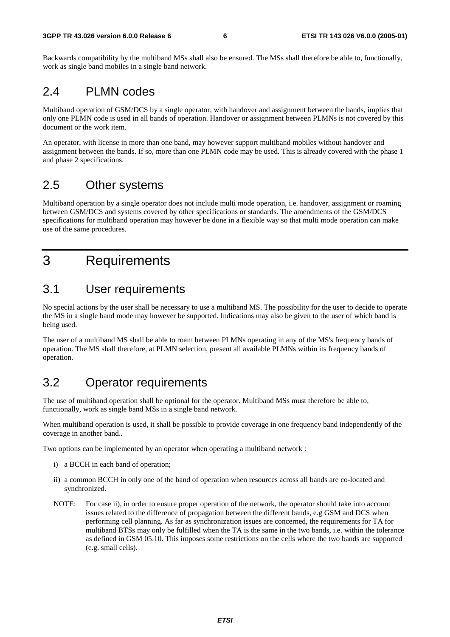Backwards compatibility by the multiband MSs shall also be ensured. The MSs shall therefore be able to, functionally, work as single band mobiles in a single band network.

### 2.4 PLMN codes

Multiband operation of GSM/DCS by a single operator, with handover and assignment between the bands, implies that only one PLMN code is used in all bands of operation. Handover or assignment between PLMNs is not covered by this document or the work item.

An operator, with license in more than one band, may however support multiband mobiles without handover and assignment between the bands. If so, more than one PLMN code may be used. This is already covered with the phase 1 and phase 2 specifications.

# 2.5 Other systems

Multiband operation by a single operator does not include multi mode operation, i.e. handover, assignment or roaming between GSM/DCS and systems covered by other specifications or standards. The amendments of the GSM/DCS specifications for multiband operation may however be done in a flexible way so that multi mode operation can make use of the same procedures.

# 3 Requirements

### 3.1 User requirements

No special actions by the user shall be necessary to use a multiband MS. The possibility for the user to decide to operate the MS in a single band mode may however be supported. Indications may also be given to the user of which band is being used.

The user of a multiband MS shall be able to roam between PLMNs operating in any of the MS's frequency bands of operation. The MS shall therefore, at PLMN selection, present all available PLMNs within its frequency bands of operation.

# 3.2 Operator requirements

The use of multiband operation shall be optional for the operator. Multiband MSs must therefore be able to, functionally, work as single band MSs in a single band network.

When multiband operation is used, it shall be possible to provide coverage in one frequency band independently of the coverage in another band..

Two options can be implemented by an operator when operating a multiband network :

- i) a BCCH in each band of operation;
- ii) a common BCCH in only one of the band of operation when resources across all bands are co-located and synchronized.
- NOTE: For case ii), in order to ensure proper operation of the network, the operator should take into account issues related to the difference of propagation between the different bands, e.g GSM and DCS when performing cell planning. As far as synchronization issues are concerned, the requirements for TA for multiband BTSs may only be fulfilled when the TA is the same in the two bands, i.e. within the tolerance as defined in GSM 05.10. This imposes some restrictions on the cells where the two bands are supported (e.g. small cells).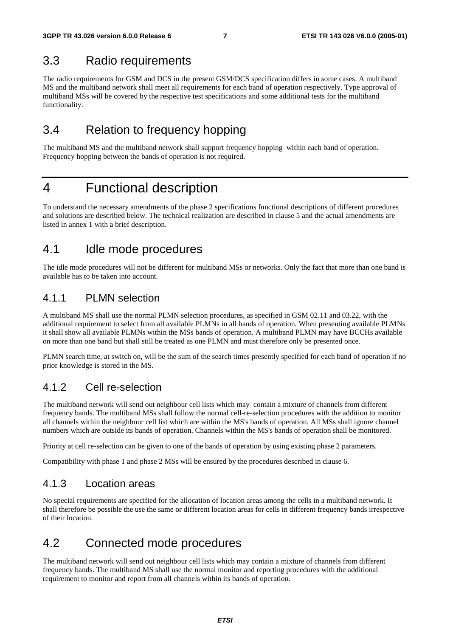### 3.3 Radio requirements

The radio requirements for GSM and DCS in the present GSM/DCS specification differs in some cases. A multiband MS and the multiband network shall meet all requirements for each band of operation respectively. Type approval of multiband MSs will be covered by the respective test specifications and some additional tests for the multiband functionality.

# 3.4 Relation to frequency hopping

The multiband MS and the multiband network shall support frequency hopping within each band of operation. Frequency hopping between the bands of operation is not required.

# 4 Functional description

To understand the necessary amendments of the phase 2 specifications functional descriptions of different procedures and solutions are described below. The technical realization are described in clause 5 and the actual amendments are listed in annex 1 with a brief description.

### 4.1 Idle mode procedures

The idle mode procedures will not be different for multiband MSs or networks. Only the fact that more than one band is available has to be taken into account.

### 4.1.1 PLMN selection

A multiband MS shall use the normal PLMN selection procedures, as specified in GSM 02.11 and 03.22, with the additional requirement to select from all available PLMNs in all bands of operation. When presenting available PLMNs it shall show all available PLMNs within the MSs bands of operation. A multiband PLMN may have BCCHs available on more than one band but shall still be treated as one PLMN and must therefore only be presented once.

PLMN search time, at switch on, will be the sum of the search times presently specified for each band of operation if no prior knowledge is stored in the MS.

### 4.1.2 Cell re-selection

The multiband network will send out neighbour cell lists which may contain a mixture of channels from different frequency bands. The multiband MSs shall follow the normal cell-re-selection procedures with the addition to monitor all channels within the neighbour cell list which are within the MS's bands of operation. All MSs shall ignore channel numbers which are outside its bands of operation. Channels within the MS's bands of operation shall be monitored.

Priority at cell re-selection can be given to one of the bands of operation by using existing phase 2 parameters.

Compatibility with phase 1 and phase 2 MSs will be ensured by the procedures described in clause 6.

### 4.1.3 Location areas

No special requirements are specified for the allocation of location areas among the cells in a multiband network. It shall therefore be possible the use the same or different location areas for cells in different frequency bands irrespective of their location.

# 4.2 Connected mode procedures

The multiband network will send out neighbour cell lists which may contain a mixture of channels from different frequency bands. The multiband MS shall use the normal monitor and reporting procedures with the additional requirement to monitor and report from all channels within its bands of operation.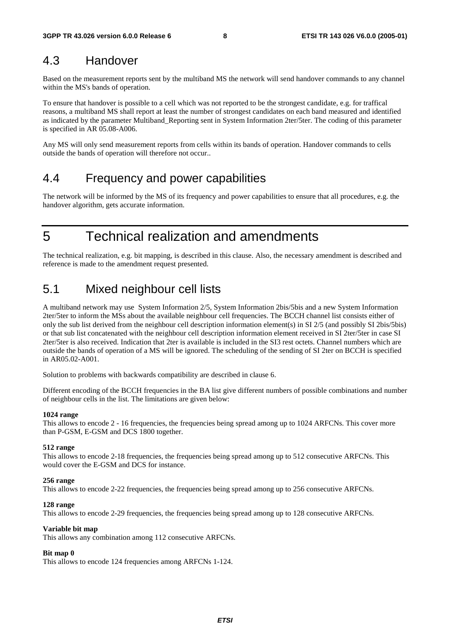### 4.3 Handover

Based on the measurement reports sent by the multiband MS the network will send handover commands to any channel within the MS's bands of operation.

To ensure that handover is possible to a cell which was not reported to be the strongest candidate, e.g. for traffical reasons, a multiband MS shall report at least the number of strongest candidates on each band measured and identified as indicated by the parameter Multiband\_Reporting sent in System Information 2ter/5ter. The coding of this parameter is specified in AR 05.08-A006.

Any MS will only send measurement reports from cells within its bands of operation. Handover commands to cells outside the bands of operation will therefore not occur..

### 4.4 Frequency and power capabilities

The network will be informed by the MS of its frequency and power capabilities to ensure that all procedures, e.g. the handover algorithm, gets accurate information.

5 Technical realization and amendments

The technical realization, e.g. bit mapping, is described in this clause. Also, the necessary amendment is described and reference is made to the amendment request presented.

# 5.1 Mixed neighbour cell lists

A multiband network may use System Information 2/5, System Information 2bis/5bis and a new System Information 2ter/5ter to inform the MSs about the available neighbour cell frequencies. The BCCH channel list consists either of only the sub list derived from the neighbour cell description information element(s) in SI 2/5 (and possibly SI 2bis/5bis) or that sub list concatenated with the neighbour cell description information element received in SI 2ter/5ter in case SI 2ter/5ter is also received. Indication that 2ter is available is included in the SI3 rest octets. Channel numbers which are outside the bands of operation of a MS will be ignored. The scheduling of the sending of SI 2ter on BCCH is specified in AR05.02-A001.

Solution to problems with backwards compatibility are described in clause 6.

Different encoding of the BCCH frequencies in the BA list give different numbers of possible combinations and number of neighbour cells in the list. The limitations are given below:

#### **1024 range**

This allows to encode 2 - 16 frequencies, the frequencies being spread among up to 1024 ARFCNs. This cover more than P-GSM, E-GSM and DCS 1800 together.

#### **512 range**

This allows to encode 2-18 frequencies, the frequencies being spread among up to 512 consecutive ARFCNs. This would cover the E-GSM and DCS for instance.

#### **256 range**

This allows to encode 2-22 frequencies, the frequencies being spread among up to 256 consecutive ARFCNs.

#### **128 range**

This allows to encode 2-29 frequencies, the frequencies being spread among up to 128 consecutive ARFCNs.

#### **Variable bit map**

This allows any combination among 112 consecutive ARFCNs.

#### **Bit map 0**

This allows to encode 124 frequencies among ARFCNs 1-124.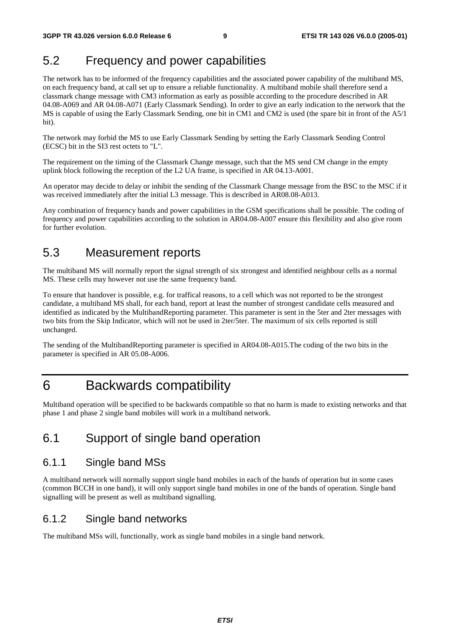# 5.2 Frequency and power capabilities

The network has to be informed of the frequency capabilities and the associated power capability of the multiband MS, on each frequency band, at call set up to ensure a reliable functionality. A multiband mobile shall therefore send a classmark change message with CM3 information as early as possible according to the procedure described in AR 04.08-A069 and AR 04.08-A071 (Early Classmark Sending)*.* In order to give an early indication to the network that the MS is capable of using the Early Classmark Sending, one bit in CM1 and CM2 is used (the spare bit in front of the A5/1 bit).

The network may forbid the MS to use Early Classmark Sending by setting the Early Classmark Sending Control (ECSC) bit in the SI3 rest octets to "L".

The requirement on the timing of the Classmark Change message, such that the MS send CM change in the empty uplink block following the reception of the L2 UA frame, is specified in AR 04.13-A001.

An operator may decide to delay or inhibit the sending of the Classmark Change message from the BSC to the MSC if it was received immediately after the initial L3 message. This is described in AR08.08-A013.

Any combination of frequency bands and power capabilities in the GSM specifications shall be possible. The coding of frequency and power capabilities according to the solution in AR04.08-A007 ensure this flexibility and also give room for further evolution.

### 5.3 Measurement reports

The multiband MS will normally report the signal strength of six strongest and identified neighbour cells as a normal MS. These cells may however not use the same frequency band.

To ensure that handover is possible, e.g. for traffical reasons, to a cell which was not reported to be the strongest candidate, a multiband MS shall, for each band, report at least the number of strongest candidate cells measured and identified as indicated by the MultibandReporting parameter. This parameter is sent in the 5ter and 2ter messages with two bits from the Skip Indicator, which will not be used in 2ter/5ter. The maximum of six cells reported is still unchanged.

The sending of the MultibandReporting parameter is specified in AR04.08-A015.The coding of the two bits in the parameter is specified in AR 05.08-A006.

# 6 Backwards compatibility

Multiband operation will be specified to be backwards compatible so that no harm is made to existing networks and that phase 1 and phase 2 single band mobiles will work in a multiband network.

# 6.1 Support of single band operation

### 6.1.1 Single band MSs

A multiband network will normally support single band mobiles in each of the bands of operation but in some cases (common BCCH in one band), it will only support single band mobiles in one of the bands of operation. Single band signalling will be present as well as multiband signalling.

### 6.1.2 Single band networks

The multiband MSs will, functionally, work as single band mobiles in a single band network.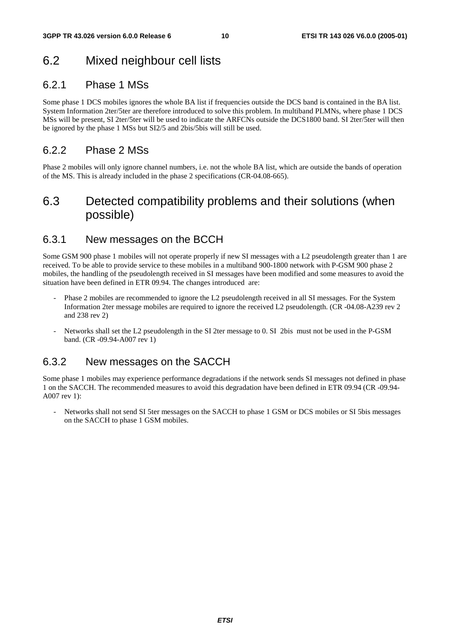# 6.2 Mixed neighbour cell lists

### 6.2.1 Phase 1 MSs

Some phase 1 DCS mobiles ignores the whole BA list if frequencies outside the DCS band is contained in the BA list. System Information 2ter/5ter are therefore introduced to solve this problem. In multiband PLMNs, where phase 1 DCS MSs will be present, SI 2ter/5ter will be used to indicate the ARFCNs outside the DCS1800 band. SI 2ter/5ter will then be ignored by the phase 1 MSs but SI2/5 and 2bis/5bis will still be used.

### 6.2.2 Phase 2 MSs

Phase 2 mobiles will only ignore channel numbers, i.e. not the whole BA list, which are outside the bands of operation of the MS. This is already included in the phase 2 specifications (CR-04.08-665).

# 6.3 Detected compatibility problems and their solutions (when possible)

### 6.3.1 New messages on the BCCH

Some GSM 900 phase 1 mobiles will not operate properly if new SI messages with a L2 pseudolength greater than 1 are received. To be able to provide service to these mobiles in a multiband 900-1800 network with P-GSM 900 phase 2 mobiles, the handling of the pseudolength received in SI messages have been modified and some measures to avoid the situation have been defined in ETR 09.94. The changes introduced are:

- Phase 2 mobiles are recommended to ignore the L2 pseudolength received in all SI messages. For the System Information 2ter message mobiles are required to ignore the received L2 pseudolength. (CR -04.08-A239 rev 2 and 238 rev 2)
- Networks shall set the L2 pseudolength in the SI 2ter message to 0. SI 2bis must not be used in the P-GSM band. (CR -09.94-A007 rev 1)

### 6.3.2 New messages on the SACCH

Some phase 1 mobiles may experience performance degradations if the network sends SI messages not defined in phase 1 on the SACCH. The recommended measures to avoid this degradation have been defined in ETR 09.94 (CR -09.94- A007 rev 1):

- Networks shall not send SI 5ter messages on the SACCH to phase 1 GSM or DCS mobiles or SI 5bis messages on the SACCH to phase 1 GSM mobiles.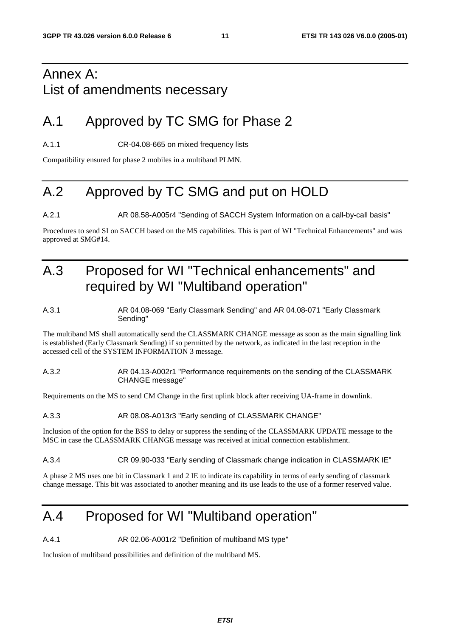# Annex A: List of amendments necessary

# A.1 Approved by TC SMG for Phase 2

A.1.1 CR-04.08-665 on mixed frequency lists

Compatibility ensured for phase 2 mobiles in a multiband PLMN.

# A.2 Approved by TC SMG and put on HOLD

A.2.1 AR 08.58-A005r4 "Sending of SACCH System Information on a call-by-call basis"

Procedures to send SI on SACCH based on the MS capabilities. This is part of WI "Technical Enhancements" and was approved at SMG#14.

# A.3 Proposed for WI "Technical enhancements" and required by WI "Multiband operation"

#### A.3.1 AR 04.08-069 "Early Classmark Sending" and AR 04.08-071 "Early Classmark Sending"

The multiband MS shall automatically send the CLASSMARK CHANGE message as soon as the main signalling link is established (Early Classmark Sending) if so permitted by the network, as indicated in the last reception in the accessed cell of the SYSTEM INFORMATION 3 message.

#### A.3.2 AR 04.13-A002r1 "Performance requirements on the sending of the CLASSMARK CHANGE message"

Requirements on the MS to send CM Change in the first uplink block after receiving UA-frame in downlink.

#### A.3.3 AR 08.08-A013r3 "Early sending of CLASSMARK CHANGE"

Inclusion of the option for the BSS to delay or suppress the sending of the CLASSMARK UPDATE message to the MSC in case the CLASSMARK CHANGE message was received at initial connection establishment.

#### A.3.4 CR 09.90-033 "Early sending of Classmark change indication in CLASSMARK IE"

A phase 2 MS uses one bit in Classmark 1 and 2 IE to indicate its capability in terms of early sending of classmark change message. This bit was associated to another meaning and its use leads to the use of a former reserved value.

# A.4 Proposed for WI "Multiband operation"

A.4.1 AR 02.06-A001r2 "Definition of multiband MS type"

Inclusion of multiband possibilities and definition of the multiband MS.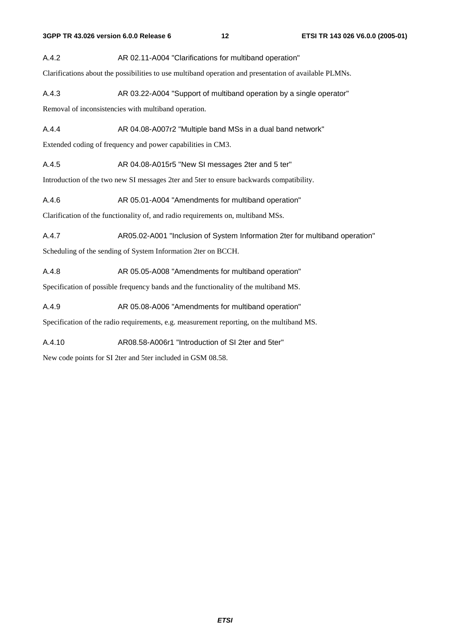A.4.2 AR 02.11-A004 "Clarifications for multiband operation"

Clarifications about the possibilities to use multiband operation and presentation of available PLMNs.

A.4.3 AR 03.22-A004 "Support of multiband operation by a single operator"

Removal of inconsistencies with multiband operation.

A.4.4 **AR 04.08-A007r2** "Multiple band MSs in a dual band network"

Extended coding of frequency and power capabilities in CM3.

A.4.5 AR 04.08-A015r5 "New SI messages 2ter and 5 ter"

Introduction of the two new SI messages 2ter and 5ter to ensure backwards compatibility.

A.4.6 AR 05.01-A004 "Amendments for multiband operation"

Clarification of the functionality of, and radio requirements on, multiband MSs.

A.4.7 AR05.02-A001 "Inclusion of System Information 2ter for multiband operation"

Scheduling of the sending of System Information 2ter on BCCH.

A.4.8 AR 05.05-A008 "Amendments for multiband operation"

Specification of possible frequency bands and the functionality of the multiband MS.

A.4.9 AR 05.08-A006 "Amendments for multiband operation"

Specification of the radio requirements, e.g. measurement reporting, on the multiband MS.

A.4.10 AR08.58-A006r1 "Introduction of SI 2ter and 5ter"

New code points for SI 2ter and 5ter included in GSM 08.58.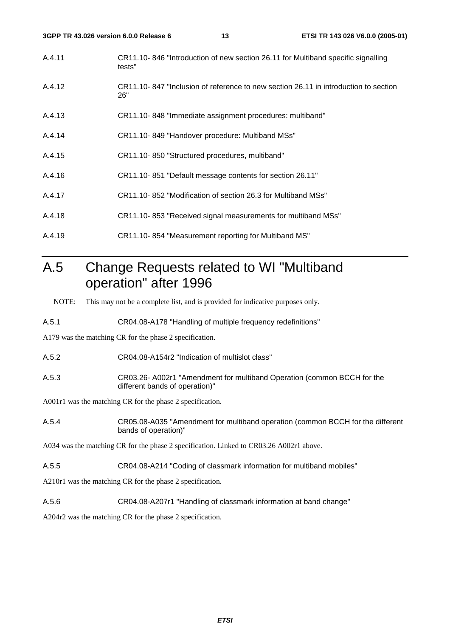- A.4.11 CR11.10- 846 "Introduction of new section 26.11 for Multiband specific signalling tests"
- A.4.12 CR11.10- 847 "Inclusion of reference to new section 26.11 in introduction to section 26"
- A.4.13 CR11.10- 848 "Immediate assignment procedures: multiband"
- A.4.14 CR11.10- 849 "Handover procedure: Multiband MSs"
- A.4.15 CR11.10- 850 "Structured procedures, multiband"
- A.4.16 CR11.10- 851 "Default message contents for section 26.11"
- A.4.17 CR11.10- 852 "Modification of section 26.3 for Multiband MSs"
- A.4.18 CR11.10- 853 "Received signal measurements for multiband MSs"
- A.4.19 CR11.10- 854 "Measurement reporting for Multiband MS"

# A.5 Change Requests related to WI "Multiband operation" after 1996

NOTE: This may not be a complete list, and is provided for indicative purposes only.

A.5.1 CR04.08-A178 "Handling of multiple frequency redefinitions"

A179 was the matching CR for the phase 2 specification.

- A.5.2 CR04.08-A154r2 "Indication of multislot class"
- A.5.3 CR03.26- A002r1 "Amendment for multiband Operation (common BCCH for the different bands of operation)"

A001r1 was the matching CR for the phase 2 specification.

A.5.4 CR05.08-A035 "Amendment for multiband operation (common BCCH for the different bands of operation)"

A034 was the matching CR for the phase 2 specification. Linked to CR03.26 A002r1 above.

A.5.5 CR04.08-A214 "Coding of classmark information for multiband mobiles"

A210r1 was the matching CR for the phase 2 specification.

A.5.6 CR04.08-A207r1 "Handling of classmark information at band change"

A204r2 was the matching CR for the phase 2 specification.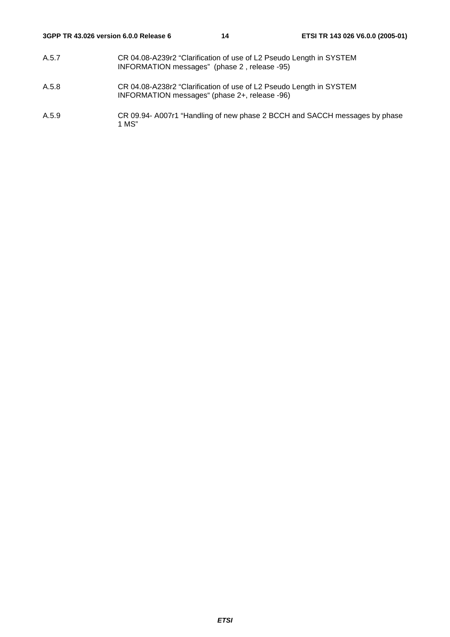- A.5.7 CR 04.08-A239r2 "Clarification of use of L2 Pseudo Length in SYSTEM INFORMATION messages" (phase 2 , release -95)
- A.5.8 CR 04.08-A238r2 "Clarification of use of L2 Pseudo Length in SYSTEM INFORMATION messages" (phase 2+, release -96)
- A.5.9 CR 09.94- A007r1 "Handling of new phase 2 BCCH and SACCH messages by phase 1 MS"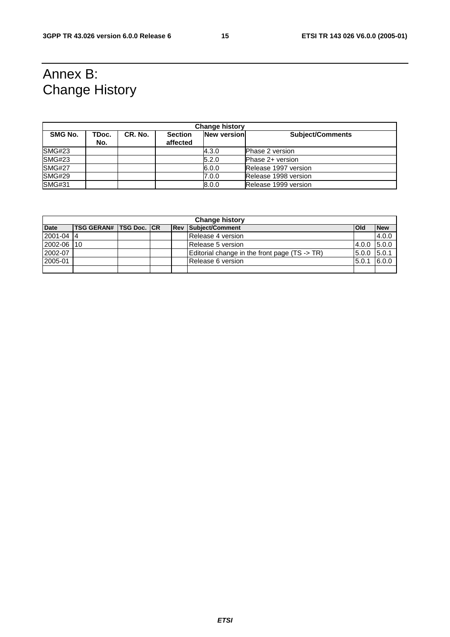# Annex B: Change History

| <b>Change history</b> |              |         |                            |                    |                         |  |  |
|-----------------------|--------------|---------|----------------------------|--------------------|-------------------------|--|--|
| SMG No.               | TDoc.<br>No. | CR. No. | <b>Section</b><br>affected | <b>New version</b> | <b>Subject/Comments</b> |  |  |
| SMG#23                |              |         |                            | 4.3.0              | <b>Phase 2 version</b>  |  |  |
| SMG#23                |              |         |                            | 5.2.0              | Phase 2+ version        |  |  |
| <b>SMG#27</b>         |              |         |                            | 6.0.0              | Release 1997 version    |  |  |
| <b>SMG#29</b>         |              |         |                            | 7.0.0              | Release 1998 version    |  |  |
| <b>SMG#31</b>         |              |         |                            | 8.0.0              | Release 1999 version    |  |  |

| <b>Change history</b> |                                  |  |  |  |                                               |            |            |
|-----------------------|----------------------------------|--|--|--|-----------------------------------------------|------------|------------|
| <b>Date</b>           | <b>ITSG GERAN# ITSG Doc. ICR</b> |  |  |  | <b>Rev Subject/Comment</b>                    | <b>Old</b> | <b>New</b> |
| $ 2001 - 04 $         |                                  |  |  |  | Release 4 version                             |            | 4.0.0      |
| 2002-06 10            |                                  |  |  |  | Release 5 version                             | 4.0.0      | 5.0.0      |
| 2002-07               |                                  |  |  |  | Editorial change in the front page (TS -> TR) | 5.0.0      | 5.0.1      |
| 2005-01               |                                  |  |  |  | Release 6 version                             | 5.0.1      | 6.0.0      |
|                       |                                  |  |  |  |                                               |            |            |